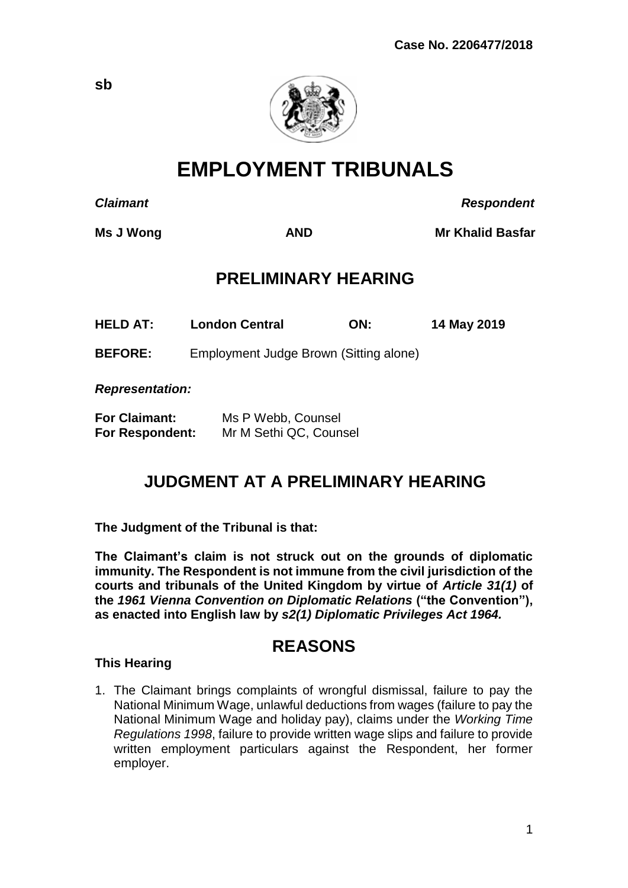

**EMPLOYMENT TRIBUNALS**

*Claimant Respondent*

**Ms J Wong**  $\bullet$  **AND Mr Khalid Basfar** 

## **PRELIMINARY HEARING**

**HELD AT: London Central ON: 14 May 2019**

**BEFORE:** Employment Judge Brown (Sitting alone)

*Representation:*

| <b>For Claimant:</b>   | Ms P Webb, Counsel     |
|------------------------|------------------------|
| <b>For Respondent:</b> | Mr M Sethi QC, Counsel |

# **JUDGMENT AT A PRELIMINARY HEARING**

**The Judgment of the Tribunal is that:** 

**The Claimant's claim is not struck out on the grounds of diplomatic immunity. The Respondent is not immune from the civil jurisdiction of the courts and tribunals of the United Kingdom by virtue of** *Article 31(1)* **of the** *1961 Vienna Convention on Diplomatic Relations* **("the Convention"), as enacted into English law by** *s2(1) Diplomatic Privileges Act 1964.*

## **REASONS**

## **This Hearing**

1. The Claimant brings complaints of wrongful dismissal, failure to pay the National Minimum Wage, unlawful deductions from wages (failure to pay the National Minimum Wage and holiday pay), claims under the *Working Time Regulations 1998*, failure to provide written wage slips and failure to provide written employment particulars against the Respondent, her former employer.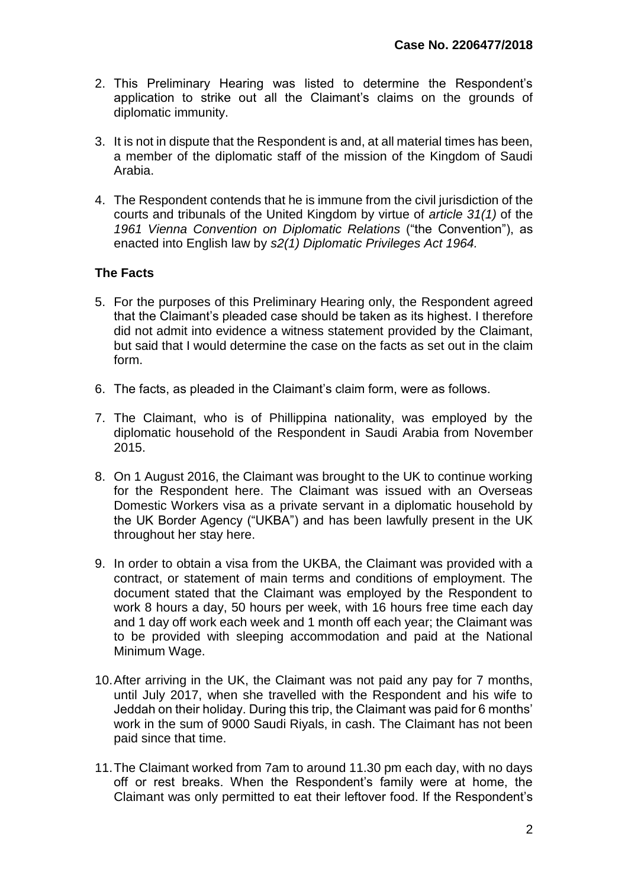- 2. This Preliminary Hearing was listed to determine the Respondent's application to strike out all the Claimant's claims on the grounds of diplomatic immunity.
- 3. It is not in dispute that the Respondent is and, at all material times has been, a member of the diplomatic staff of the mission of the Kingdom of Saudi Arabia.
- 4. The Respondent contends that he is immune from the civil jurisdiction of the courts and tribunals of the United Kingdom by virtue of *article 31(1)* of the *1961 Vienna Convention on Diplomatic Relations* ("the Convention"), as enacted into English law by *s2(1) Diplomatic Privileges Act 1964.*

## **The Facts**

- 5. For the purposes of this Preliminary Hearing only, the Respondent agreed that the Claimant's pleaded case should be taken as its highest. I therefore did not admit into evidence a witness statement provided by the Claimant, but said that I would determine the case on the facts as set out in the claim form.
- 6. The facts, as pleaded in the Claimant's claim form, were as follows.
- 7. The Claimant, who is of Phillippina nationality, was employed by the diplomatic household of the Respondent in Saudi Arabia from November 2015.
- 8. On 1 August 2016, the Claimant was brought to the UK to continue working for the Respondent here. The Claimant was issued with an Overseas Domestic Workers visa as a private servant in a diplomatic household by the UK Border Agency ("UKBA") and has been lawfully present in the UK throughout her stay here.
- 9. In order to obtain a visa from the UKBA, the Claimant was provided with a contract, or statement of main terms and conditions of employment. The document stated that the Claimant was employed by the Respondent to work 8 hours a day, 50 hours per week, with 16 hours free time each day and 1 day off work each week and 1 month off each year; the Claimant was to be provided with sleeping accommodation and paid at the National Minimum Wage.
- 10.After arriving in the UK, the Claimant was not paid any pay for 7 months, until July 2017, when she travelled with the Respondent and his wife to Jeddah on their holiday. During this trip, the Claimant was paid for 6 months' work in the sum of 9000 Saudi Riyals, in cash. The Claimant has not been paid since that time.
- 11.The Claimant worked from 7am to around 11.30 pm each day, with no days off or rest breaks. When the Respondent's family were at home, the Claimant was only permitted to eat their leftover food. If the Respondent's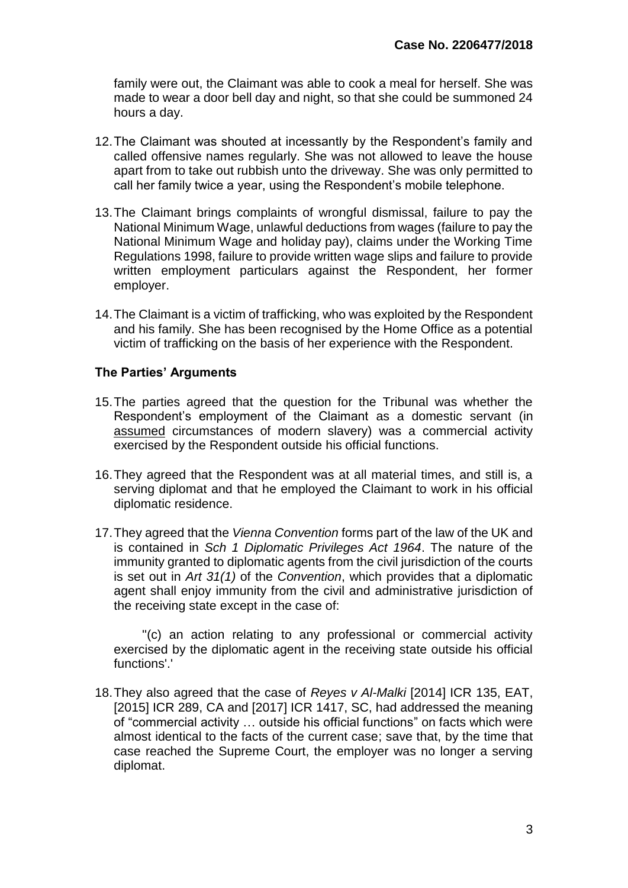family were out, the Claimant was able to cook a meal for herself. She was made to wear a door bell day and night, so that she could be summoned 24 hours a day.

- 12.The Claimant was shouted at incessantly by the Respondent's family and called offensive names regularly. She was not allowed to leave the house apart from to take out rubbish unto the driveway. She was only permitted to call her family twice a year, using the Respondent's mobile telephone.
- 13.The Claimant brings complaints of wrongful dismissal, failure to pay the National Minimum Wage, unlawful deductions from wages (failure to pay the National Minimum Wage and holiday pay), claims under the Working Time Regulations 1998, failure to provide written wage slips and failure to provide written employment particulars against the Respondent, her former employer.
- 14.The Claimant is a victim of trafficking, who was exploited by the Respondent and his family. She has been recognised by the Home Office as a potential victim of trafficking on the basis of her experience with the Respondent.

## **The Parties' Arguments**

- 15.The parties agreed that the question for the Tribunal was whether the Respondent's employment of the Claimant as a domestic servant (in assumed circumstances of modern slavery) was a commercial activity exercised by the Respondent outside his official functions.
- 16.They agreed that the Respondent was at all material times, and still is, a serving diplomat and that he employed the Claimant to work in his official diplomatic residence.
- 17.They agreed that the *Vienna Convention* forms part of the law of the UK and is contained in *Sch 1 Diplomatic Privileges Act 1964*. The nature of the immunity granted to diplomatic agents from the civil jurisdiction of the courts is set out in *Art 31(1)* of the *Convention*, which provides that a diplomatic agent shall enjoy immunity from the civil and administrative jurisdiction of the receiving state except in the case of:

 ''(c) an action relating to any professional or commercial activity exercised by the diplomatic agent in the receiving state outside his official functions'.'

18.They also agreed that the case of *Reyes v Al-Malki* [2014] ICR 135, EAT, [2015] ICR 289, CA and [2017] ICR 1417, SC, had addressed the meaning of "commercial activity … outside his official functions" on facts which were almost identical to the facts of the current case; save that, by the time that case reached the Supreme Court, the employer was no longer a serving diplomat.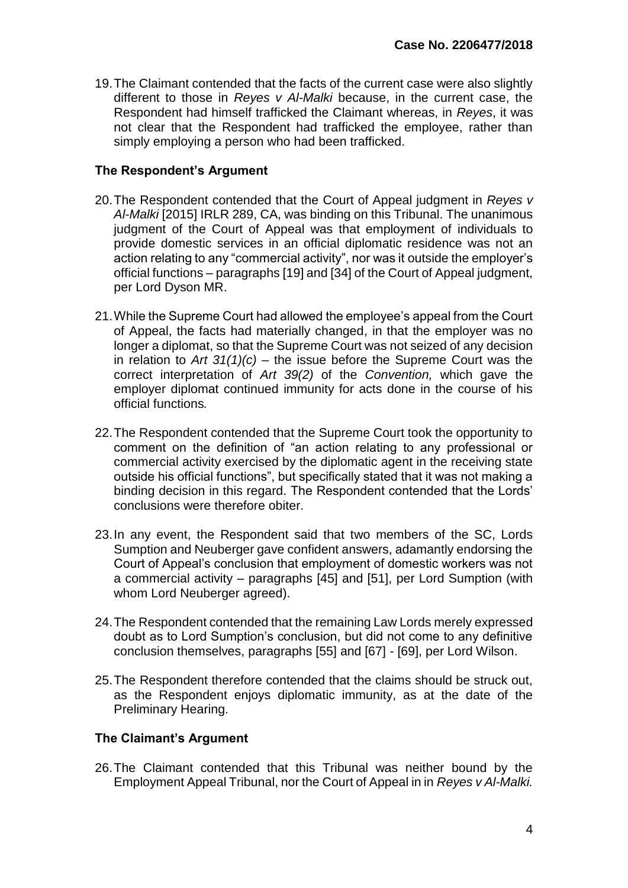19.The Claimant contended that the facts of the current case were also slightly different to those in *Reyes v Al-Malki* because, in the current case, the Respondent had himself trafficked the Claimant whereas, in *Reyes*, it was not clear that the Respondent had trafficked the employee, rather than simply employing a person who had been trafficked.

## **The Respondent's Argument**

- 20.The Respondent contended that the Court of Appeal judgment in *Reyes v Al-Malki* [2015] IRLR 289, CA, was binding on this Tribunal. The unanimous judgment of the Court of Appeal was that employment of individuals to provide domestic services in an official diplomatic residence was not an action relating to any "commercial activity", nor was it outside the employer's official functions – paragraphs [19] and [34] of the Court of Appeal judgment, per Lord Dyson MR.
- 21.While the Supreme Court had allowed the employee's appeal from the Court of Appeal, the facts had materially changed, in that the employer was no longer a diplomat, so that the Supreme Court was not seized of any decision in relation to *Art 31(1)(c) –* the issue before the Supreme Court was the correct interpretation of *Art 39(2)* of the *Convention,* which gave the employer diplomat continued immunity for acts done in the course of his official functions*.*
- 22.The Respondent contended that the Supreme Court took the opportunity to comment on the definition of "an action relating to any professional or commercial activity exercised by the diplomatic agent in the receiving state outside his official functions", but specifically stated that it was not making a binding decision in this regard. The Respondent contended that the Lords' conclusions were therefore obiter.
- 23.In any event, the Respondent said that two members of the SC, Lords Sumption and Neuberger gave confident answers, adamantly endorsing the Court of Appeal's conclusion that employment of domestic workers was not a commercial activity – paragraphs [45] and [51], per Lord Sumption (with whom Lord Neuberger agreed).
- 24.The Respondent contended that the remaining Law Lords merely expressed doubt as to Lord Sumption's conclusion, but did not come to any definitive conclusion themselves, paragraphs [55] and [67] - [69], per Lord Wilson.
- 25.The Respondent therefore contended that the claims should be struck out, as the Respondent enjoys diplomatic immunity, as at the date of the Preliminary Hearing.

## **The Claimant's Argument**

26.The Claimant contended that this Tribunal was neither bound by the Employment Appeal Tribunal, nor the Court of Appeal in in *Reyes v Al-Malki.*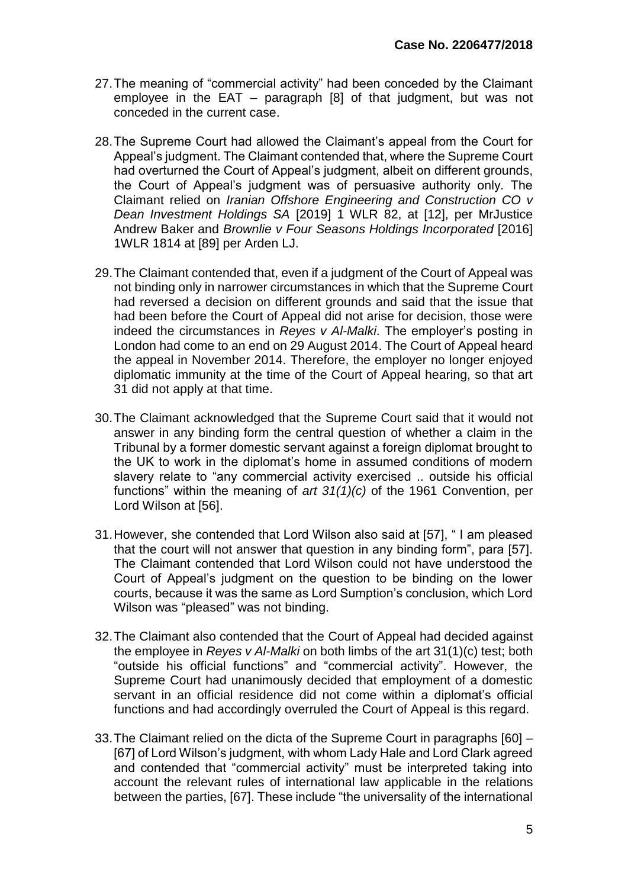- 27.The meaning of "commercial activity" had been conceded by the Claimant employee in the EAT – paragraph [8] of that judgment, but was not conceded in the current case.
- 28.The Supreme Court had allowed the Claimant's appeal from the Court for Appeal's judgment. The Claimant contended that, where the Supreme Court had overturned the Court of Appeal's judgment, albeit on different grounds, the Court of Appeal's judgment was of persuasive authority only. The Claimant relied on *Iranian Offshore Engineering and Construction CO v Dean Investment Holdings SA* [2019] 1 WLR 82, at [12], per MrJustice Andrew Baker and *Brownlie v Four Seasons Holdings Incorporated* [2016] 1WLR 1814 at [89] per Arden LJ.
- 29.The Claimant contended that, even if a judgment of the Court of Appeal was not binding only in narrower circumstances in which that the Supreme Court had reversed a decision on different grounds and said that the issue that had been before the Court of Appeal did not arise for decision, those were indeed the circumstances in *Reyes v Al-Malki*. The employer's posting in London had come to an end on 29 August 2014. The Court of Appeal heard the appeal in November 2014. Therefore, the employer no longer enjoyed diplomatic immunity at the time of the Court of Appeal hearing, so that art 31 did not apply at that time.
- 30.The Claimant acknowledged that the Supreme Court said that it would not answer in any binding form the central question of whether a claim in the Tribunal by a former domestic servant against a foreign diplomat brought to the UK to work in the diplomat's home in assumed conditions of modern slavery relate to "any commercial activity exercised .. outside his official functions" within the meaning of *art 31(1)(c)* of the 1961 Convention, per Lord Wilson at [56].
- 31.However, she contended that Lord Wilson also said at [57], " I am pleased that the court will not answer that question in any binding form", para [57]. The Claimant contended that Lord Wilson could not have understood the Court of Appeal's judgment on the question to be binding on the lower courts, because it was the same as Lord Sumption's conclusion, which Lord Wilson was "pleased" was not binding.
- 32.The Claimant also contended that the Court of Appeal had decided against the employee in *Reyes v Al-Malki* on both limbs of the art 31(1)(c) test; both "outside his official functions" and "commercial activity". However, the Supreme Court had unanimously decided that employment of a domestic servant in an official residence did not come within a diplomat's official functions and had accordingly overruled the Court of Appeal is this regard.
- 33.The Claimant relied on the dicta of the Supreme Court in paragraphs [60] [67] of Lord Wilson's judgment, with whom Lady Hale and Lord Clark agreed and contended that "commercial activity" must be interpreted taking into account the relevant rules of international law applicable in the relations between the parties, [67]. These include "the universality of the international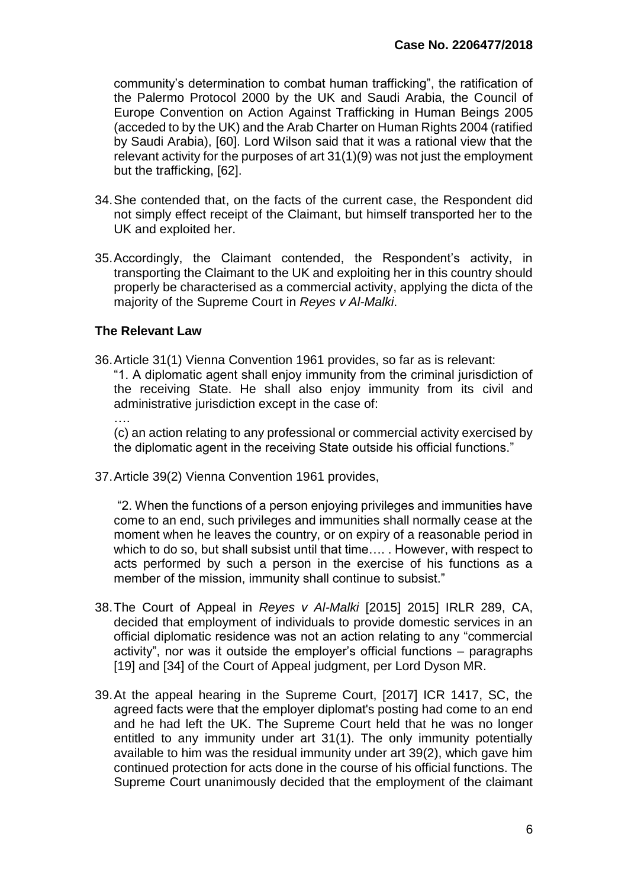community's determination to combat human trafficking", the ratification of the Palermo Protocol 2000 by the UK and Saudi Arabia, the Council of Europe Convention on Action Against Trafficking in Human Beings 2005 (acceded to by the UK) and the Arab Charter on Human Rights 2004 (ratified by Saudi Arabia), [60]. Lord Wilson said that it was a rational view that the relevant activity for the purposes of art 31(1)(9) was not just the employment but the trafficking, [62].

- 34.She contended that, on the facts of the current case, the Respondent did not simply effect receipt of the Claimant, but himself transported her to the UK and exploited her.
- 35.Accordingly, the Claimant contended, the Respondent's activity, in transporting the Claimant to the UK and exploiting her in this country should properly be characterised as a commercial activity, applying the dicta of the majority of the Supreme Court in *Reyes v Al-Malki*.

#### **The Relevant Law**

36.Article 31(1) Vienna Convention 1961 provides, so far as is relevant: "1. A diplomatic agent shall enjoy immunity from the criminal jurisdiction of the receiving State. He shall also enjoy immunity from its civil and administrative jurisdiction except in the case of: ….

(c) an action relating to any professional or commercial activity exercised by the diplomatic agent in the receiving State outside his official functions."

37.Article 39(2) Vienna Convention 1961 provides,

"2. When the functions of a person enjoying privileges and immunities have come to an end, such privileges and immunities shall normally cease at the moment when he leaves the country, or on expiry of a reasonable period in which to do so, but shall subsist until that time…. . However, with respect to acts performed by such a person in the exercise of his functions as a member of the mission, immunity shall continue to subsist."

- 38.The Court of Appeal in *Reyes v Al-Malki* [2015] 2015] IRLR 289, CA, decided that employment of individuals to provide domestic services in an official diplomatic residence was not an action relating to any "commercial activity", nor was it outside the employer's official functions – paragraphs [19] and [34] of the Court of Appeal judgment, per Lord Dyson MR.
- 39.At the appeal hearing in the Supreme Court, [2017] ICR 1417, SC, the agreed facts were that the employer diplomat's posting had come to an end and he had left the UK. The Supreme Court held that he was no longer entitled to any immunity under art 31(1). The only immunity potentially available to him was the residual immunity under art 39(2), which gave him continued protection for acts done in the course of his official functions. The Supreme Court unanimously decided that the employment of the claimant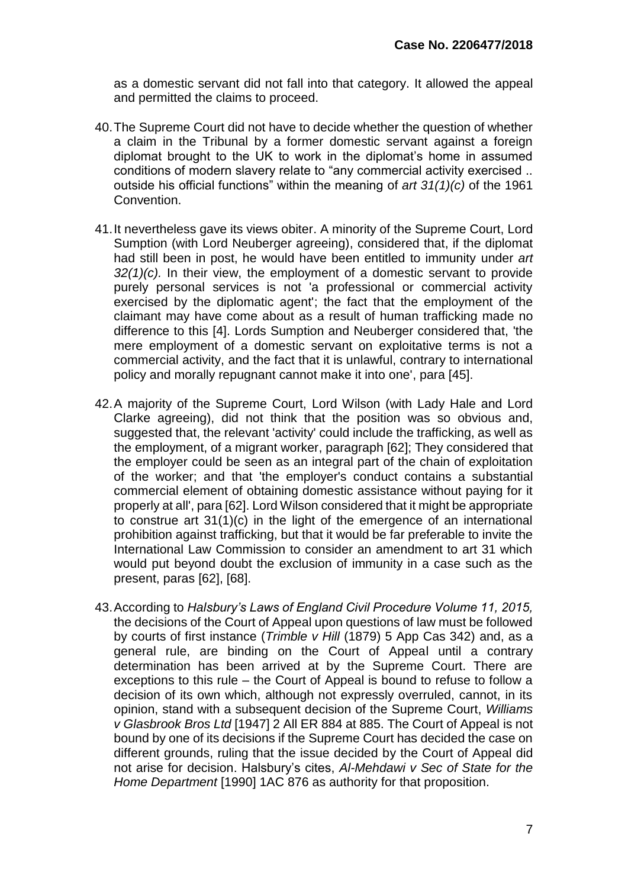as a domestic servant did not fall into that category. It allowed the appeal and permitted the claims to proceed.

- 40.The Supreme Court did not have to decide whether the question of whether a claim in the Tribunal by a former domestic servant against a foreign diplomat brought to the UK to work in the diplomat's home in assumed conditions of modern slavery relate to "any commercial activity exercised .. outside his official functions" within the meaning of *art 31(1)(c)* of the 1961 Convention.
- 41.It nevertheless gave its views obiter. A minority of the Supreme Court, Lord Sumption (with Lord Neuberger agreeing), considered that, if the diplomat had still been in post, he would have been entitled to immunity under *art 32(1)(c).* In their view, the employment of a domestic servant to provide purely personal services is not 'a professional or commercial activity exercised by the diplomatic agent'; the fact that the employment of the claimant may have come about as a result of human trafficking made no difference to this [4]. Lords Sumption and Neuberger considered that, 'the mere employment of a domestic servant on exploitative terms is not a commercial activity, and the fact that it is unlawful, contrary to international policy and morally repugnant cannot make it into one', para [45].
- 42.A majority of the Supreme Court, Lord Wilson (with Lady Hale and Lord Clarke agreeing), did not think that the position was so obvious and, suggested that, the relevant 'activity' could include the trafficking, as well as the employment, of a migrant worker, paragraph [62]; They considered that the employer could be seen as an integral part of the chain of exploitation of the worker; and that 'the employer's conduct contains a substantial commercial element of obtaining domestic assistance without paying for it properly at all', para [62]. Lord Wilson considered that it might be appropriate to construe art 31(1)(c) in the light of the emergence of an international prohibition against trafficking, but that it would be far preferable to invite the International Law Commission to consider an amendment to art 31 which would put beyond doubt the exclusion of immunity in a case such as the present, paras [62], [68].
- 43.According to *Halsbury's Laws of England Civil Procedure Volume 11, 2015,*  the decisions of the Court of Appeal upon questions of law must be followed by courts of first instance (*Trimble v Hill* (1879) 5 App Cas 342) and, as a general rule, are binding on the Court of Appeal until a contrary determination has been arrived at by the Supreme Court. There are exceptions to this rule – the Court of Appeal is bound to refuse to follow a decision of its own which, although not expressly overruled, cannot, in its opinion, stand with a subsequent decision of the Supreme Court, *Williams v Glasbrook Bros Ltd* [1947] 2 All ER 884 at 885. The Court of Appeal is not bound by one of its decisions if the Supreme Court has decided the case on different grounds, ruling that the issue decided by the Court of Appeal did not arise for decision. Halsbury's cites, *Al-Mehdawi v Sec of State for the Home Department* [1990] 1AC 876 as authority for that proposition.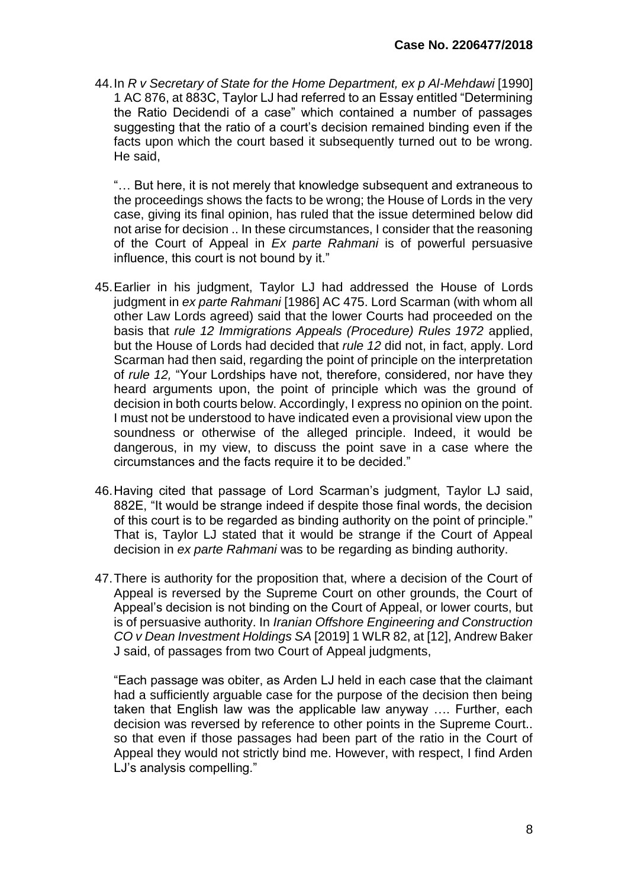44.In *R v Secretary of State for the Home Department, ex p Al-Mehdawi* [1990] 1 AC 876, at 883C, Taylor LJ had referred to an Essay entitled "Determining the Ratio Decidendi of a case" which contained a number of passages suggesting that the ratio of a court's decision remained binding even if the facts upon which the court based it subsequently turned out to be wrong. He said,

"… But here, it is not merely that knowledge subsequent and extraneous to the proceedings shows the facts to be wrong; the House of Lords in the very case, giving its final opinion, has ruled that the issue determined below did not arise for decision .. In these circumstances, I consider that the reasoning of the Court of Appeal in *Ex parte Rahmani* is of powerful persuasive influence, this court is not bound by it."

- 45.Earlier in his judgment, Taylor LJ had addressed the House of Lords judgment in *ex parte Rahmani* [1986] AC 475. Lord Scarman (with whom all other Law Lords agreed) said that the lower Courts had proceeded on the basis that *rule 12 Immigrations Appeals (Procedure) Rules 1972* applied, but the House of Lords had decided that *rule 12* did not, in fact, apply. Lord Scarman had then said, regarding the point of principle on the interpretation of *rule 12,* "Your Lordships have not, therefore, considered, nor have they heard arguments upon, the point of principle which was the ground of decision in both courts below. Accordingly, I express no opinion on the point. I must not be understood to have indicated even a provisional view upon the soundness or otherwise of the alleged principle. Indeed, it would be dangerous, in my view, to discuss the point save in a case where the circumstances and the facts require it to be decided."
- 46.Having cited that passage of Lord Scarman's judgment, Taylor LJ said, 882E, "It would be strange indeed if despite those final words, the decision of this court is to be regarded as binding authority on the point of principle." That is, Taylor LJ stated that it would be strange if the Court of Appeal decision in *ex parte Rahmani* was to be regarding as binding authority.
- 47.There is authority for the proposition that, where a decision of the Court of Appeal is reversed by the Supreme Court on other grounds, the Court of Appeal's decision is not binding on the Court of Appeal, or lower courts, but is of persuasive authority. In *Iranian Offshore Engineering and Construction CO v Dean Investment Holdings SA* [2019] 1 WLR 82, at [12], Andrew Baker J said, of passages from two Court of Appeal judgments,

"Each passage was obiter, as Arden LJ held in each case that the claimant had a sufficiently arguable case for the purpose of the decision then being taken that English law was the applicable law anyway …. Further, each decision was reversed by reference to other points in the Supreme Court.. so that even if those passages had been part of the ratio in the Court of Appeal they would not strictly bind me. However, with respect, I find Arden LJ's analysis compelling."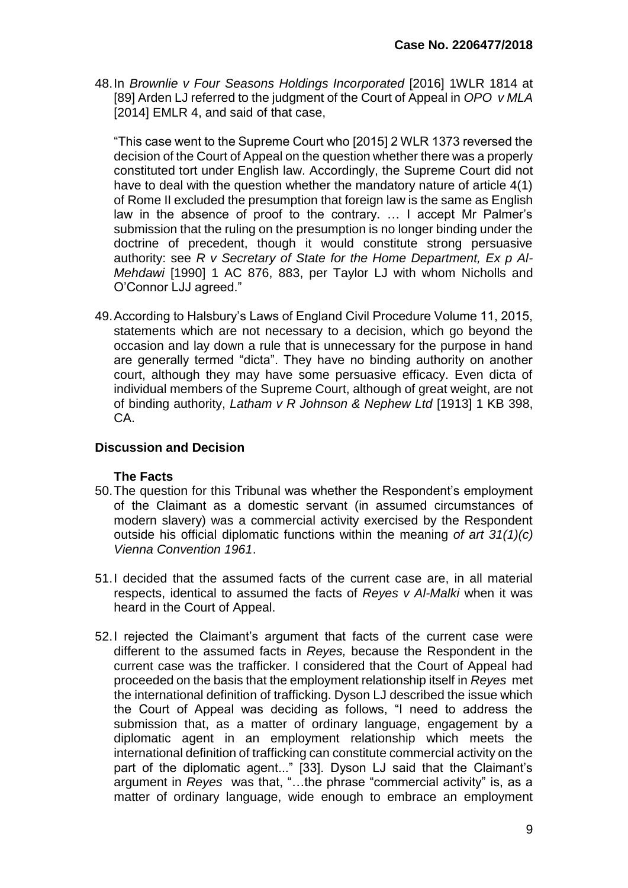48.In *Brownlie v Four Seasons Holdings Incorporated* [2016] 1WLR 1814 at [89] Arden LJ referred to the judgment of the Court of Appeal in *OPO v MLA*  [2014] EMLR 4, and said of that case,

"This case went to the Supreme Court who [2015] 2 WLR 1373 reversed the decision of the Court of Appeal on the question whether there was a properly constituted tort under English law. Accordingly, the Supreme Court did not have to deal with the question whether the mandatory nature of article 4(1) of Rome II excluded the presumption that foreign law is the same as English law in the absence of proof to the contrary. … I accept Mr Palmer's submission that the ruling on the presumption is no longer binding under the doctrine of precedent, though it would constitute strong persuasive authority: see *R v Secretary of State for the Home Department, Ex p Al-Mehdawi* [1990] 1 AC 876, 883, per Taylor LJ with whom Nicholls and O'Connor LJJ agreed."

49.According to Halsbury's Laws of England Civil Procedure Volume 11, 2015, statements which are not necessary to a decision, which go beyond the occasion and lay down a rule that is unnecessary for the purpose in hand are generally termed "dicta". They have no binding authority on another court, although they may have some persuasive efficacy. Even dicta of individual members of the Supreme Court, although of great weight, are not of binding authority, *Latham v R Johnson & Nephew Ltd* [1913] 1 KB 398, CA.

#### **Discussion and Decision**

#### **The Facts**

- 50.The question for this Tribunal was whether the Respondent's employment of the Claimant as a domestic servant (in assumed circumstances of modern slavery) was a commercial activity exercised by the Respondent outside his official diplomatic functions within the meaning *of art 31(1)(c) Vienna Convention 1961*.
- 51.I decided that the assumed facts of the current case are, in all material respects, identical to assumed the facts of *Reyes v Al-Malki* when it was heard in the Court of Appeal.
- 52.I rejected the Claimant's argument that facts of the current case were different to the assumed facts in *Reyes,* because the Respondent in the current case was the trafficker*.* I considered that the Court of Appeal had proceeded on the basis that the employment relationship itself in *Reyes* met the international definition of trafficking. Dyson LJ described the issue which the Court of Appeal was deciding as follows, "I need to address the submission that, as a matter of ordinary language, engagement by a diplomatic agent in an employment relationship which meets the international definition of trafficking can constitute commercial activity on the part of the diplomatic agent..." [33]. Dyson LJ said that the Claimant's argument in *Reyes* was that, "…the phrase "commercial activity" is, as a matter of ordinary language, wide enough to embrace an employment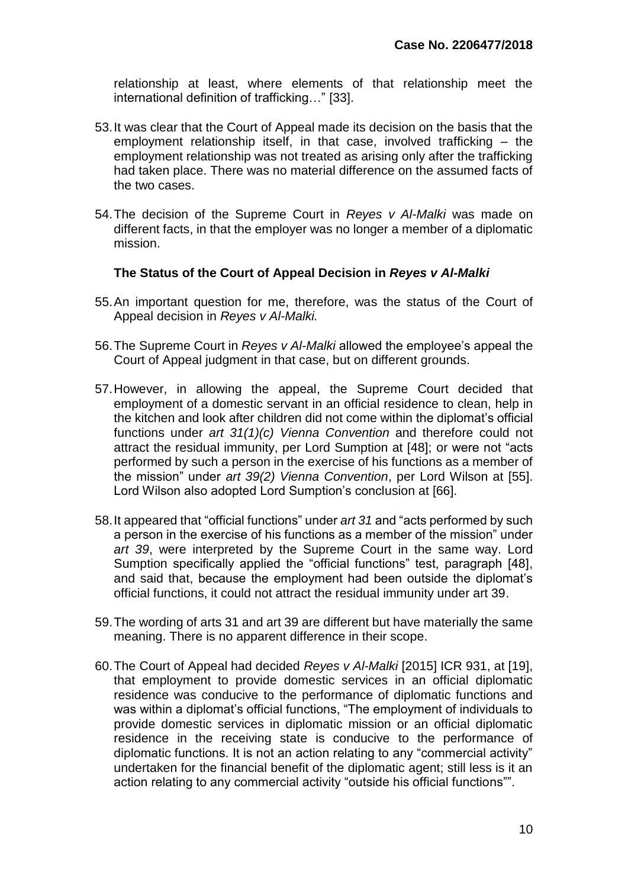relationship at least, where elements of that relationship meet the international definition of trafficking…" [33].

- 53.It was clear that the Court of Appeal made its decision on the basis that the employment relationship itself, in that case, involved trafficking – the employment relationship was not treated as arising only after the trafficking had taken place. There was no material difference on the assumed facts of the two cases.
- 54.The decision of the Supreme Court in *Reyes v Al-Malki* was made on different facts, in that the employer was no longer a member of a diplomatic mission.

## **The Status of the Court of Appeal Decision in** *Reyes v Al-Malki*

- 55.An important question for me, therefore, was the status of the Court of Appeal decision in *Reyes v Al-Malki.*
- 56.The Supreme Court in *Reyes v Al-Malki* allowed the employee's appeal the Court of Appeal judgment in that case, but on different grounds.
- 57.However, in allowing the appeal, the Supreme Court decided that employment of a domestic servant in an official residence to clean, help in the kitchen and look after children did not come within the diplomat's official functions under *art 31(1)(c) Vienna Convention* and therefore could not attract the residual immunity, per Lord Sumption at [48]; or were not "acts performed by such a person in the exercise of his functions as a member of the mission" under *art 39(2) Vienna Convention*, per Lord Wilson at [55]. Lord Wilson also adopted Lord Sumption's conclusion at [66].
- 58.It appeared that "official functions" under *art 31* and "acts performed by such a person in the exercise of his functions as a member of the mission" under *art 39*, were interpreted by the Supreme Court in the same way. Lord Sumption specifically applied the "official functions" test, paragraph [48], and said that, because the employment had been outside the diplomat's official functions, it could not attract the residual immunity under art 39.
- 59.The wording of arts 31 and art 39 are different but have materially the same meaning. There is no apparent difference in their scope.
- 60.The Court of Appeal had decided *Reyes v Al-Malki* [2015] ICR 931, at [19], that employment to provide domestic services in an official diplomatic residence was conducive to the performance of diplomatic functions and was within a diplomat's official functions, "The employment of individuals to provide domestic services in diplomatic mission or an official diplomatic residence in the receiving state is conducive to the performance of diplomatic functions. It is not an action relating to any "commercial activity" undertaken for the financial benefit of the diplomatic agent; still less is it an action relating to any commercial activity "outside his official functions"".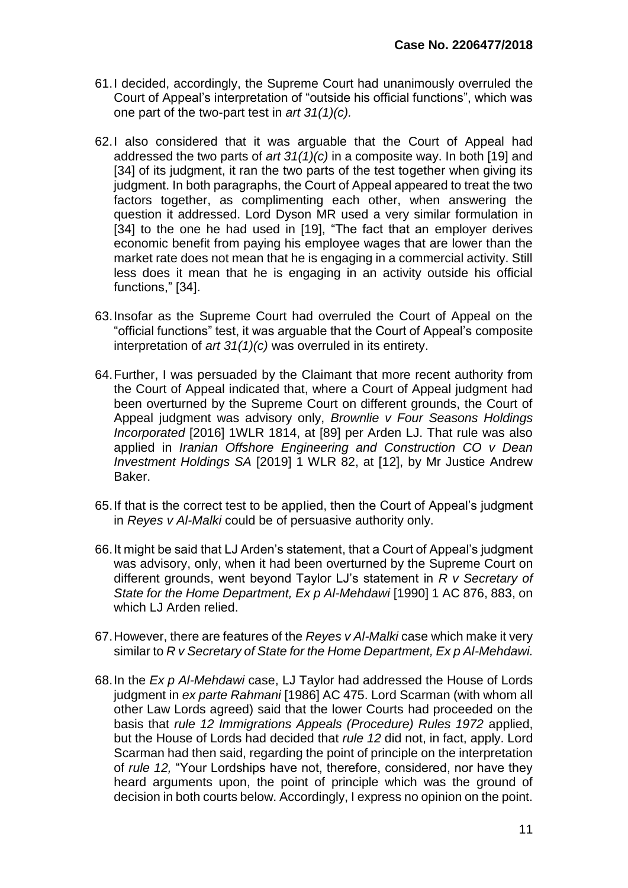- 61.I decided, accordingly, the Supreme Court had unanimously overruled the Court of Appeal's interpretation of "outside his official functions", which was one part of the two-part test in *art 31(1)(c).*
- 62.I also considered that it was arguable that the Court of Appeal had addressed the two parts of *art 31(1)(c)* in a composite way. In both [19] and [34] of its judgment, it ran the two parts of the test together when giving its judgment. In both paragraphs, the Court of Appeal appeared to treat the two factors together, as complimenting each other, when answering the question it addressed. Lord Dyson MR used a very similar formulation in [34] to the one he had used in [19], "The fact that an employer derives economic benefit from paying his employee wages that are lower than the market rate does not mean that he is engaging in a commercial activity. Still less does it mean that he is engaging in an activity outside his official functions," [34].
- 63.Insofar as the Supreme Court had overruled the Court of Appeal on the "official functions" test, it was arguable that the Court of Appeal's composite interpretation of *art 31(1)(c)* was overruled in its entirety.
- 64.Further, I was persuaded by the Claimant that more recent authority from the Court of Appeal indicated that, where a Court of Appeal judgment had been overturned by the Supreme Court on different grounds, the Court of Appeal judgment was advisory only, *Brownlie v Four Seasons Holdings Incorporated* [2016] 1WLR 1814, at [89] per Arden LJ. That rule was also applied in *Iranian Offshore Engineering and Construction CO v Dean Investment Holdings SA* [2019] 1 WLR 82, at [12], by Mr Justice Andrew Baker.
- 65.If that is the correct test to be appIied, then the Court of Appeal's judgment in *Reyes v Al-Malki* could be of persuasive authority only.
- 66.It might be said that LJ Arden's statement, that a Court of Appeal's judgment was advisory, only, when it had been overturned by the Supreme Court on different grounds, went beyond Taylor LJ's statement in *R v Secretary of State for the Home Department, Ex p Al-Mehdawi* [1990] 1 AC 876, 883, on which LJ Arden relied.
- 67.However, there are features of the *Reyes v Al-Malki* case which make it very similar to *R v Secretary of State for the Home Department, Ex p Al-Mehdawi.*
- 68.In the *Ex p Al-Mehdawi* case, LJ Taylor had addressed the House of Lords judgment in *ex parte Rahmani* [1986] AC 475. Lord Scarman (with whom all other Law Lords agreed) said that the lower Courts had proceeded on the basis that *rule 12 Immigrations Appeals (Procedure) Rules 1972* applied, but the House of Lords had decided that *rule 12* did not, in fact, apply. Lord Scarman had then said, regarding the point of principle on the interpretation of *rule 12,* "Your Lordships have not, therefore, considered, nor have they heard arguments upon, the point of principle which was the ground of decision in both courts below. Accordingly, I express no opinion on the point.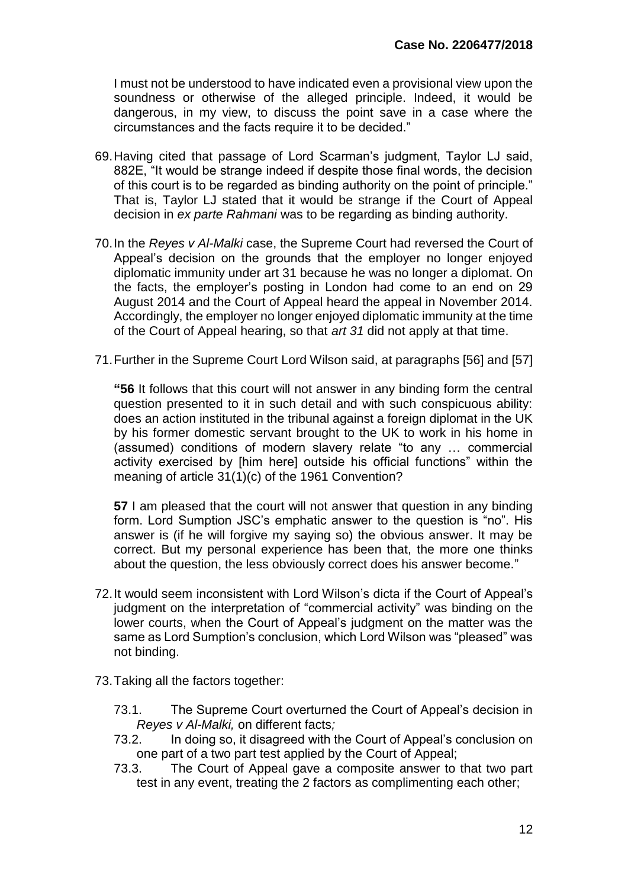I must not be understood to have indicated even a provisional view upon the soundness or otherwise of the alleged principle. Indeed, it would be dangerous, in my view, to discuss the point save in a case where the circumstances and the facts require it to be decided."

- 69.Having cited that passage of Lord Scarman's judgment, Taylor LJ said, 882E, "It would be strange indeed if despite those final words, the decision of this court is to be regarded as binding authority on the point of principle." That is, Taylor LJ stated that it would be strange if the Court of Appeal decision in *ex parte Rahmani* was to be regarding as binding authority.
- 70.In the *Reyes v Al-Malki* case, the Supreme Court had reversed the Court of Appeal's decision on the grounds that the employer no longer enjoyed diplomatic immunity under art 31 because he was no longer a diplomat. On the facts, the employer's posting in London had come to an end on 29 August 2014 and the Court of Appeal heard the appeal in November 2014. Accordingly, the employer no longer enjoyed diplomatic immunity at the time of the Court of Appeal hearing, so that *art 31* did not apply at that time.
- 71.Further in the Supreme Court Lord Wilson said, at paragraphs [56] and [57]

**"56** It follows that this court will not answer in any binding form the central question presented to it in such detail and with such conspicuous ability: does an action instituted in the tribunal against a foreign diplomat in the UK by his former domestic servant brought to the UK to work in his home in (assumed) conditions of modern slavery relate "to any … commercial activity exercised by [him here] outside his official functions" within the meaning of article 31(1)(c) of the 1961 Convention?

**57** I am pleased that the court will not answer that question in any binding form. Lord Sumption JSC's emphatic answer to the question is "no". His answer is (if he will forgive my saying so) the obvious answer. It may be correct. But my personal experience has been that, the more one thinks about the question, the less obviously correct does his answer become."

- 72.It would seem inconsistent with Lord Wilson's dicta if the Court of Appeal's judgment on the interpretation of "commercial activity" was binding on the lower courts, when the Court of Appeal's judgment on the matter was the same as Lord Sumption's conclusion, which Lord Wilson was "pleased" was not binding.
- 73.Taking all the factors together:
	- 73.1. The Supreme Court overturned the Court of Appeal's decision in *Reyes v Al-Malki,* on different facts*;*
	- 73.2. In doing so, it disagreed with the Court of Appeal's conclusion on one part of a two part test applied by the Court of Appeal;
	- 73.3. The Court of Appeal gave a composite answer to that two part test in any event, treating the 2 factors as complimenting each other;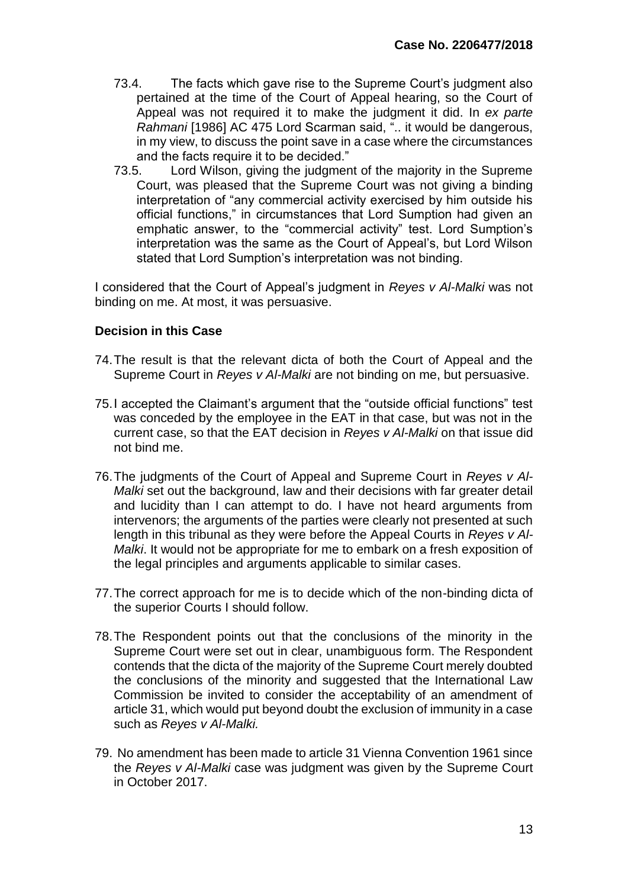- 73.4. The facts which gave rise to the Supreme Court's judgment also pertained at the time of the Court of Appeal hearing, so the Court of Appeal was not required it to make the judgment it did. In *ex parte Rahmani* [1986] AC 475 Lord Scarman said, ".. it would be dangerous, in my view, to discuss the point save in a case where the circumstances and the facts require it to be decided."
- 73.5. Lord Wilson, giving the judgment of the majority in the Supreme Court, was pleased that the Supreme Court was not giving a binding interpretation of "any commercial activity exercised by him outside his official functions," in circumstances that Lord Sumption had given an emphatic answer, to the "commercial activity" test. Lord Sumption's interpretation was the same as the Court of Appeal's, but Lord Wilson stated that Lord Sumption's interpretation was not binding.

I considered that the Court of Appeal's judgment in *Reyes v Al-Malki* was not binding on me. At most, it was persuasive.

## **Decision in this Case**

- 74.The result is that the relevant dicta of both the Court of Appeal and the Supreme Court in *Reyes v Al-Malki* are not binding on me, but persuasive.
- 75.I accepted the Claimant's argument that the "outside official functions" test was conceded by the employee in the EAT in that case, but was not in the current case, so that the EAT decision in *Reyes v Al-Malki* on that issue did not bind me.
- 76.The judgments of the Court of Appeal and Supreme Court in *Reyes v Al-Malki* set out the background, law and their decisions with far greater detail and lucidity than I can attempt to do. I have not heard arguments from intervenors; the arguments of the parties were clearly not presented at such length in this tribunal as they were before the Appeal Courts in *Reyes v Al-Malki*. It would not be appropriate for me to embark on a fresh exposition of the legal principles and arguments applicable to similar cases.
- 77.The correct approach for me is to decide which of the non-binding dicta of the superior Courts I should follow.
- 78.The Respondent points out that the conclusions of the minority in the Supreme Court were set out in clear, unambiguous form. The Respondent contends that the dicta of the majority of the Supreme Court merely doubted the conclusions of the minority and suggested that the International Law Commission be invited to consider the acceptability of an amendment of article 31, which would put beyond doubt the exclusion of immunity in a case such as *Reyes v Al-Malki.*
- 79. No amendment has been made to article 31 Vienna Convention 1961 since the *Reyes v Al-Malki* case was judgment was given by the Supreme Court in October 2017.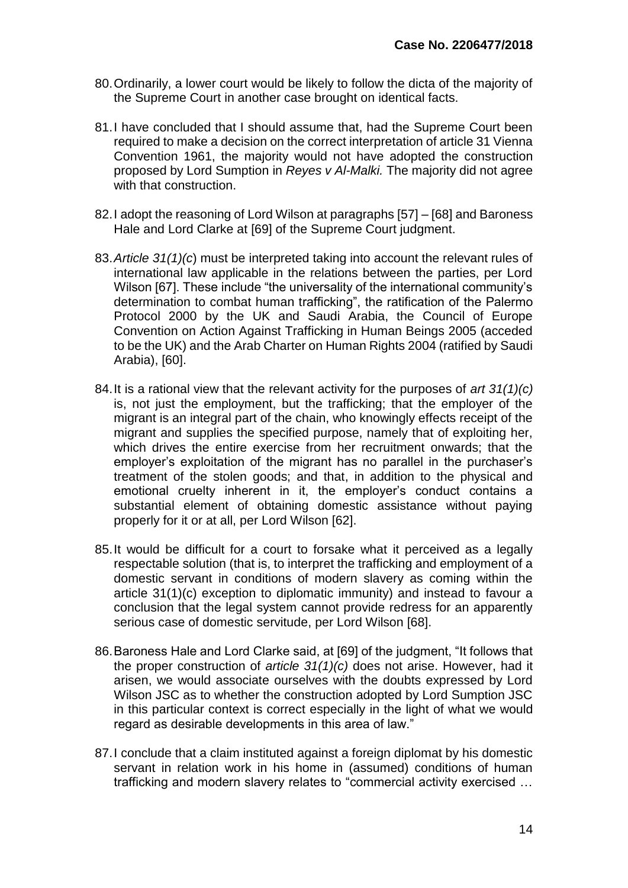- 80.Ordinarily, a lower court would be likely to follow the dicta of the majority of the Supreme Court in another case brought on identical facts.
- 81.I have concluded that I should assume that, had the Supreme Court been required to make a decision on the correct interpretation of article 31 Vienna Convention 1961, the majority would not have adopted the construction proposed by Lord Sumption in *Reyes v Al-Malki.* The majority did not agree with that construction.
- 82.I adopt the reasoning of Lord Wilson at paragraphs [57] [68] and Baroness Hale and Lord Clarke at [69] of the Supreme Court judgment.
- 83.*Article 31(1)(c*) must be interpreted taking into account the relevant rules of international law applicable in the relations between the parties, per Lord Wilson [67]. These include "the universality of the international community's determination to combat human trafficking", the ratification of the Palermo Protocol 2000 by the UK and Saudi Arabia, the Council of Europe Convention on Action Against Trafficking in Human Beings 2005 (acceded to be the UK) and the Arab Charter on Human Rights 2004 (ratified by Saudi Arabia), [60].
- 84.It is a rational view that the relevant activity for the purposes of *art 31(1)(c)*  is, not just the employment, but the trafficking; that the employer of the migrant is an integral part of the chain, who knowingly effects receipt of the migrant and supplies the specified purpose, namely that of exploiting her, which drives the entire exercise from her recruitment onwards; that the employer's exploitation of the migrant has no parallel in the purchaser's treatment of the stolen goods; and that, in addition to the physical and emotional cruelty inherent in it, the employer's conduct contains a substantial element of obtaining domestic assistance without paying properly for it or at all, per Lord Wilson [62].
- 85.It would be difficult for a court to forsake what it perceived as a legally respectable solution (that is, to interpret the trafficking and employment of a domestic servant in conditions of modern slavery as coming within the article 31(1)(c) exception to diplomatic immunity) and instead to favour a conclusion that the legal system cannot provide redress for an apparently serious case of domestic servitude, per Lord Wilson [68].
- 86.Baroness Hale and Lord Clarke said, at [69] of the judgment, "It follows that the proper construction of *article 31(1)(c)* does not arise. However, had it arisen, we would associate ourselves with the doubts expressed by Lord Wilson JSC as to whether the construction adopted by Lord Sumption JSC in this particular context is correct especially in the light of what we would regard as desirable developments in this area of law."
- 87.I conclude that a claim instituted against a foreign diplomat by his domestic servant in relation work in his home in (assumed) conditions of human trafficking and modern slavery relates to "commercial activity exercised …